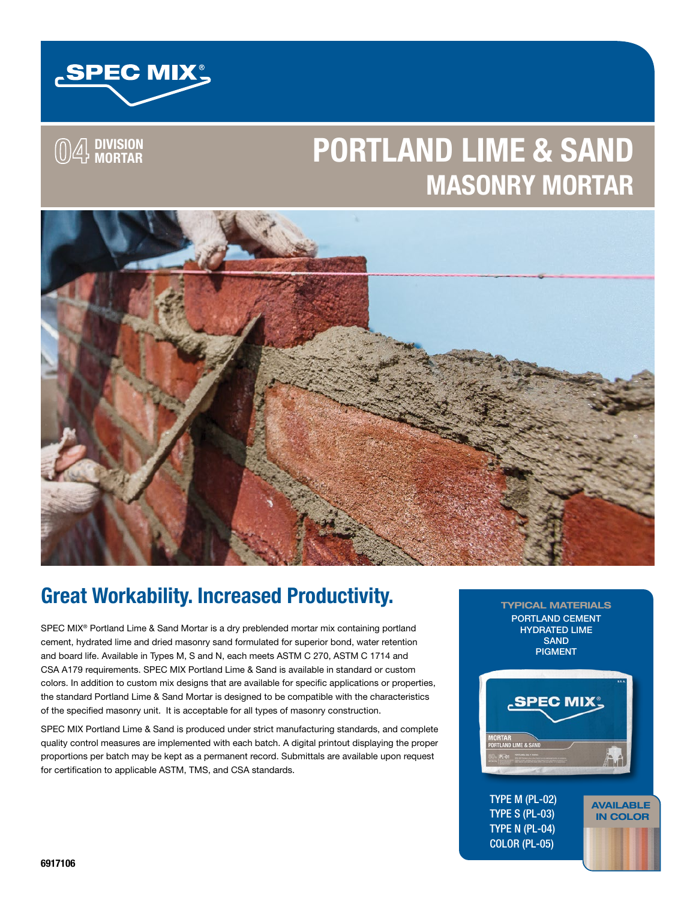

**04 DIVISION MORTAR**

# **PORTLAND LIME & SAND MASONRY MORTAR**



# **Great Workability. Increased Productivity.**

SPEC MIX® Portland Lime & Sand Mortar is a dry preblended mortar mix containing portland cement, hydrated lime and dried masonry sand formulated for superior bond, water retention and board life. Available in Types M, S and N, each meets ASTM C 270, ASTM C 1714 and CSA A179 requirements. SPEC MIX Portland Lime & Sand is available in standard or custom colors. In addition to custom mix designs that are available for specific applications or properties, the standard Portland Lime & Sand Mortar is designed to be compatible with the characteristics of the specified masonry unit. It is acceptable for all types of masonry construction.

SPEC MIX Portland Lime & Sand is produced under strict manufacturing standards, and complete quality control measures are implemented with each batch. A digital printout displaying the proper proportions per batch may be kept as a permanent record. Submittals are available upon request for certification to applicable ASTM, TMS, and CSA standards.

TYPICAL MATERIALS PORTLAND CEMENT HYDRATED LIME **SAND** PIGMENT



AVAILABLE IN COLOR

TYPE M (PL-02) TYPE S (PL-03) TYPE N (PL-04) COLOR (PL-05)